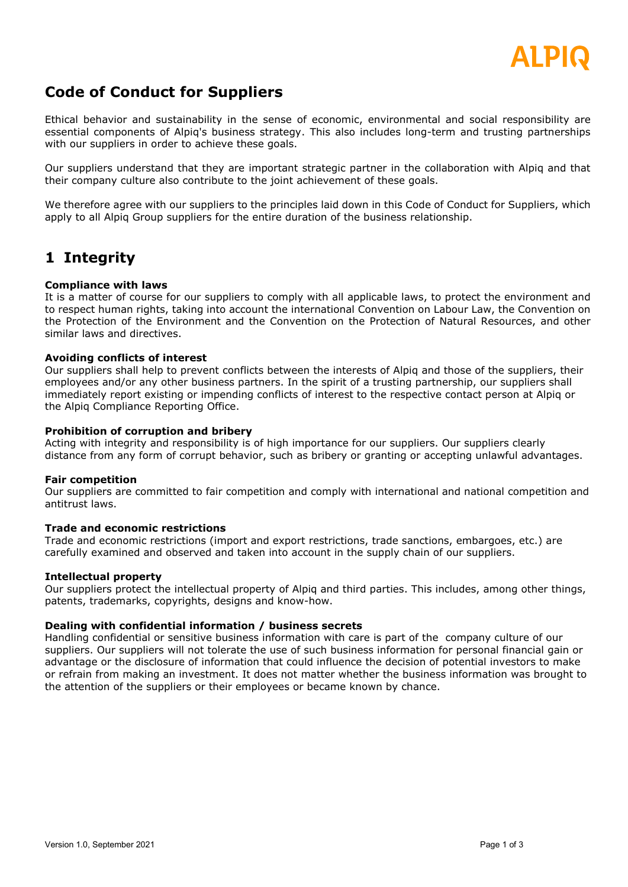

# **Code of Conduct for Suppliers**

Ethical behavior and sustainability in the sense of economic, environmental and social responsibility are essential components of Alpiq's business strategy. This also includes long-term and trusting partnerships with our suppliers in order to achieve these goals.

Our suppliers understand that they are important strategic partner in the collaboration with Alpiq and that their company culture also contribute to the joint achievement of these goals.

We therefore agree with our suppliers to the principles laid down in this Code of Conduct for Suppliers, which apply to all Alpiq Group suppliers for the entire duration of the business relationship.

# **1 Integrity**

## **Compliance with laws**

It is a matter of course for our suppliers to comply with all applicable laws, to protect the environment and to respect human rights, taking into account the international Convention on Labour Law, the Convention on the Protection of the Environment and the Convention on the Protection of Natural Resources, and other similar laws and directives.

### **Avoiding conflicts of interest**

Our suppliers shall help to prevent conflicts between the interests of Alpiq and those of the suppliers, their employees and/or any other business partners. In the spirit of a trusting partnership, our suppliers shall immediately report existing or impending conflicts of interest to the respective contact person at Alpiq or the Alpiq Compliance Reporting Office.

### **Prohibition of corruption and bribery**

Acting with integrity and responsibility is of high importance for our suppliers. Our suppliers clearly distance from any form of corrupt behavior, such as bribery or granting or accepting unlawful advantages.

### **Fair competition**

Our suppliers are committed to fair competition and comply with international and national competition and antitrust laws.

### **Trade and economic restrictions**

Trade and economic restrictions (import and export restrictions, trade sanctions, embargoes, etc.) are carefully examined and observed and taken into account in the supply chain of our suppliers.

### **Intellectual property**

Our suppliers protect the intellectual property of Alpiq and third parties. This includes, among other things, patents, trademarks, copyrights, designs and know-how.

### **Dealing with confidential information / business secrets**

Handling confidential or sensitive business information with care is part of the company culture of our suppliers. Our suppliers will not tolerate the use of such business information for personal financial gain or advantage or the disclosure of information that could influence the decision of potential investors to make or refrain from making an investment. It does not matter whether the business information was brought to the attention of the suppliers or their employees or became known by chance.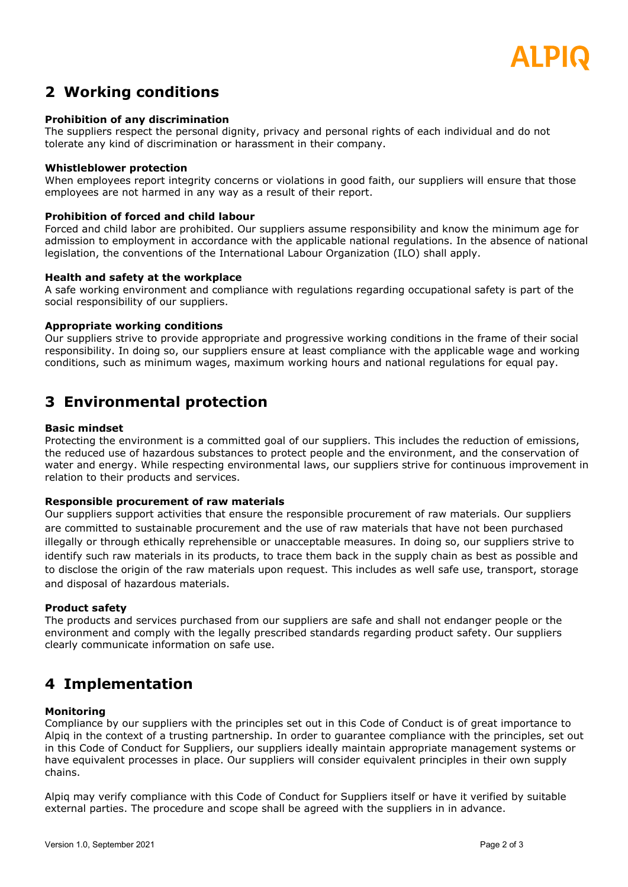

# **2 Working conditions**

## **Prohibition of any discrimination**

The suppliers respect the personal dignity, privacy and personal rights of each individual and do not tolerate any kind of discrimination or harassment in their company.

### **Whistleblower protection**

When employees report integrity concerns or violations in good faith, our suppliers will ensure that those employees are not harmed in any way as a result of their report.

### **Prohibition of forced and child labour**

Forced and child labor are prohibited. Our suppliers assume responsibility and know the minimum age for admission to employment in accordance with the applicable national regulations. In the absence of national legislation, the conventions of the International Labour Organization (ILO) shall apply.

#### **Health and safety at the workplace**

A safe working environment and compliance with regulations regarding occupational safety is part of the social responsibility of our suppliers.

#### **Appropriate working conditions**

Our suppliers strive to provide appropriate and progressive working conditions in the frame of their social responsibility. In doing so, our suppliers ensure at least compliance with the applicable wage and working conditions, such as minimum wages, maximum working hours and national regulations for equal pay.

# **3 Environmental protection**

#### **Basic mindset**

Protecting the environment is a committed goal of our suppliers. This includes the reduction of emissions, the reduced use of hazardous substances to protect people and the environment, and the conservation of water and energy. While respecting environmental laws, our suppliers strive for continuous improvement in relation to their products and services.

### **Responsible procurement of raw materials**

Our suppliers support activities that ensure the responsible procurement of raw materials. Our suppliers are committed to sustainable procurement and the use of raw materials that have not been purchased illegally or through ethically reprehensible or unacceptable measures. In doing so, our suppliers strive to identify such raw materials in its products, to trace them back in the supply chain as best as possible and to disclose the origin of the raw materials upon request. This includes as well safe use, transport, storage and disposal of hazardous materials.

#### **Product safety**

The products and services purchased from our suppliers are safe and shall not endanger people or the environment and comply with the legally prescribed standards regarding product safety. Our suppliers clearly communicate information on safe use.

# **4 Implementation**

### **Monitoring**

Compliance by our suppliers with the principles set out in this Code of Conduct is of great importance to Alpiq in the context of a trusting partnership. In order to guarantee compliance with the principles, set out in this Code of Conduct for Suppliers, our suppliers ideally maintain appropriate management systems or have equivalent processes in place. Our suppliers will consider equivalent principles in their own supply chains.

Alpiq may verify compliance with this Code of Conduct for Suppliers itself or have it verified by suitable external parties. The procedure and scope shall be agreed with the suppliers in in advance.